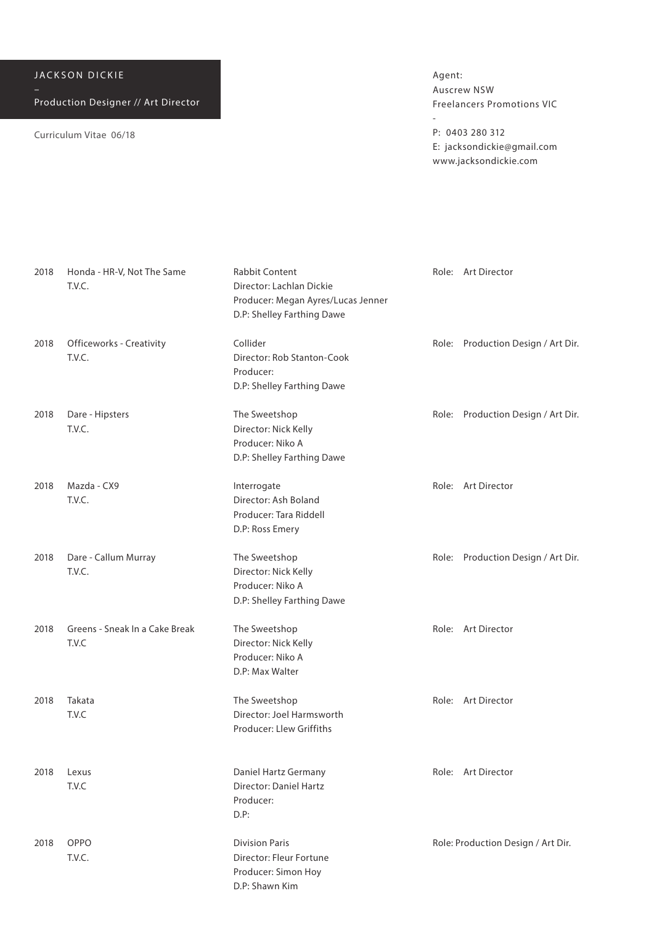Curriculum Vitae 06/18

Agent: Auscrew NSW Freelancers Promotions VIC

-

P: 0403 280 312 E: jacksondickie@gmail.com www.jacksondickie.com

| 2018 | Honda - HR-V, Not The Same<br>T.V.C.    | <b>Rabbit Content</b><br>Director: Lachlan Dickie<br>Producer: Megan Ayres/Lucas Jenner<br>D.P: Shelley Farthing Dawe | Role: Art Director                 |
|------|-----------------------------------------|-----------------------------------------------------------------------------------------------------------------------|------------------------------------|
| 2018 | Officeworks - Creativity<br>T.V.C.      | Collider<br>Director: Rob Stanton-Cook<br>Producer:<br>D.P: Shelley Farthing Dawe                                     | Role: Production Design / Art Dir. |
| 2018 | Dare - Hipsters<br>T.V.C.               | The Sweetshop<br>Director: Nick Kelly<br>Producer: Niko A<br>D.P: Shelley Farthing Dawe                               | Role: Production Design / Art Dir. |
| 2018 | Mazda - CX9<br>T.V.C.                   | Interrogate<br>Director: Ash Boland<br>Producer: Tara Riddell<br>D.P: Ross Emery                                      | Role: Art Director                 |
| 2018 | Dare - Callum Murray<br>T.V.C.          | The Sweetshop<br>Director: Nick Kelly<br>Producer: Niko A<br>D.P: Shelley Farthing Dawe                               | Role: Production Design / Art Dir. |
| 2018 | Greens - Sneak In a Cake Break<br>T.V.C | The Sweetshop<br>Director: Nick Kelly<br>Producer: Niko A<br>D.P: Max Walter                                          | Role: Art Director                 |
| 2018 | Takata<br>T.V.C                         | The Sweetshop<br>Director: Joel Harmsworth<br>Producer: Llew Griffiths                                                | Role: Art Director                 |
| 2018 | Lexus<br>T.V.C                          | Daniel Hartz Germany<br>Director: Daniel Hartz<br>Producer:<br>$D.P$ :                                                | Role: Art Director                 |
| 2018 | OPPO<br>T.V.C.                          | <b>Division Paris</b><br>Director: Fleur Fortune<br>Producer: Simon Hoy<br>D.P: Shawn Kim                             | Role: Production Design / Art Dir. |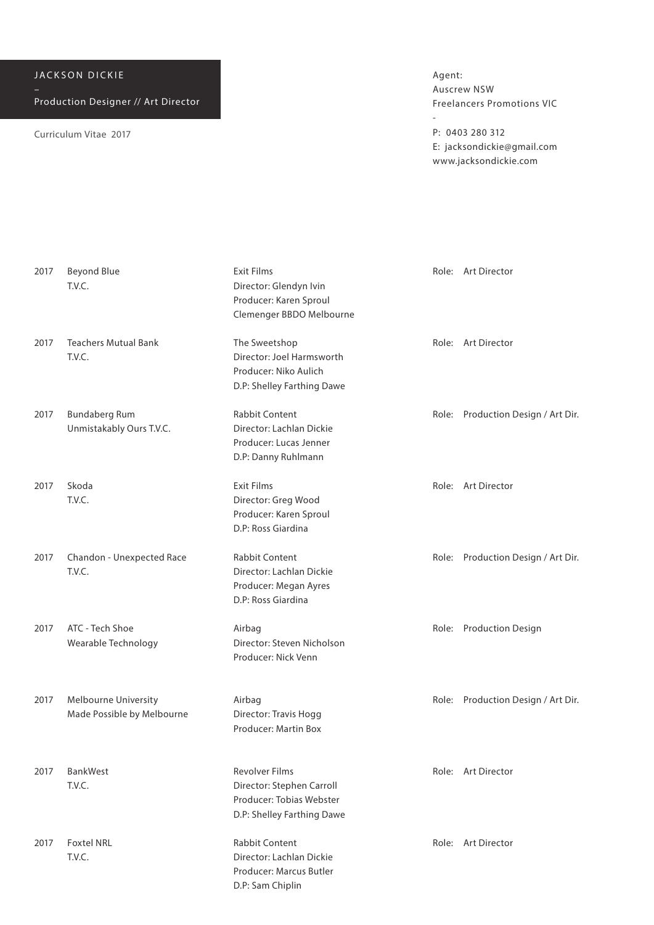Curriculum Vitae 2017

Agent: Auscrew NSW Freelancers Promotions VIC

-

P: 0403 280 312 E: jacksondickie@gmail.com www.jacksondickie.com

| 2017 | <b>Beyond Blue</b><br>T.V.C.                       | <b>Exit Films</b><br>Director: Glendyn Ivin<br>Producer: Karen Sproul<br>Clemenger BBDO Melbourne            |       | Role: Art Director                 |
|------|----------------------------------------------------|--------------------------------------------------------------------------------------------------------------|-------|------------------------------------|
| 2017 | <b>Teachers Mutual Bank</b><br>T.V.C.              | The Sweetshop<br>Director: Joel Harmsworth<br>Producer: Niko Aulich<br>D.P: Shelley Farthing Dawe            |       | Role: Art Director                 |
| 2017 | <b>Bundaberg Rum</b><br>Unmistakably Ours T.V.C.   | Rabbit Content<br>Director: Lachlan Dickie<br>Producer: Lucas Jenner<br>D.P: Danny Ruhlmann                  |       | Role: Production Design / Art Dir. |
| 2017 | Skoda<br>T.V.C.                                    | <b>Exit Films</b><br>Director: Greg Wood<br>Producer: Karen Sproul<br>D.P: Ross Giardina                     |       | Role: Art Director                 |
| 2017 | Chandon - Unexpected Race<br>T.V.C.                | Rabbit Content<br>Director: Lachlan Dickie<br>Producer: Megan Ayres<br>D.P: Ross Giardina                    |       | Role: Production Design / Art Dir. |
| 2017 | ATC - Tech Shoe<br>Wearable Technology             | Airbag<br>Director: Steven Nicholson<br>Producer: Nick Venn                                                  |       | Role: Production Design            |
| 2017 | Melbourne University<br>Made Possible by Melbourne | Airbag<br>Director: Travis Hogg<br>Producer: Martin Box                                                      |       | Role: Production Design / Art Dir. |
| 2017 | BankWest<br>T.V.C.                                 | <b>Revolver Films</b><br>Director: Stephen Carroll<br>Producer: Tobias Webster<br>D.P: Shelley Farthing Dawe |       | Role: Art Director                 |
| 2017 | <b>Foxtel NRL</b><br>T.V.C.                        | <b>Rabbit Content</b><br>Director: Lachlan Dickie<br>Producer: Marcus Butler                                 | Role: | Art Director                       |

D.P: Sam Chiplin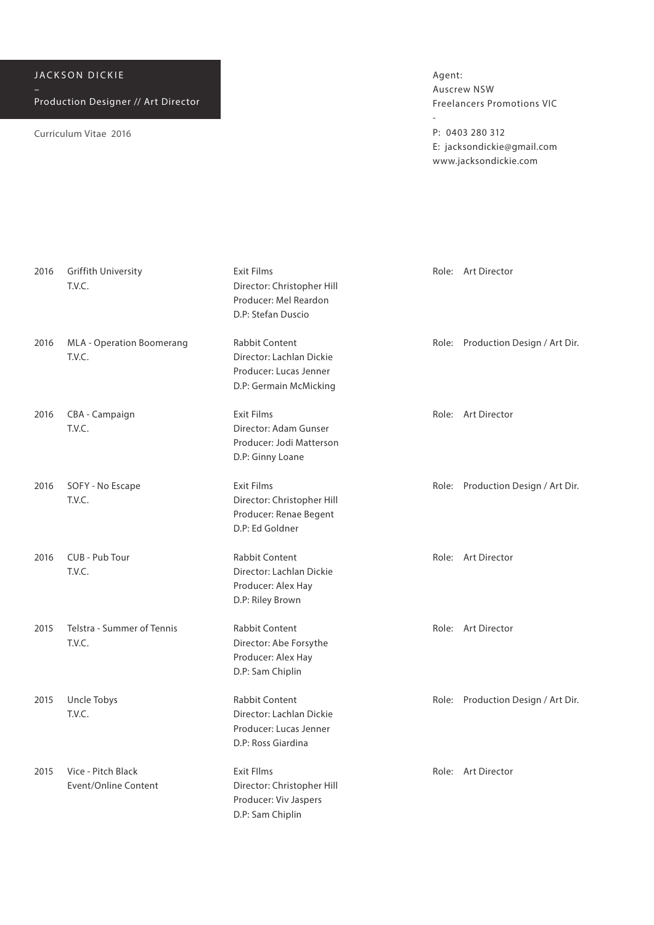| JACKSON DICKIE |  |
|----------------|--|
|----------------|--|

Curriculum Vitae 2016

Agent: Auscrew NSW Freelancers Promotions VIC

-

P: 0403 280 312 E: jacksondickie@gmail.com www.jacksondickie.com

| 2016 | <b>Griffith University</b><br>T.V.C.       | <b>Exit Films</b><br>Director: Christopher Hill<br>Producer: Mel Reardon<br>D.P: Stefan Duscio        | Role: Art Director                 |
|------|--------------------------------------------|-------------------------------------------------------------------------------------------------------|------------------------------------|
| 2016 | MLA - Operation Boomerang<br>T.V.C.        | <b>Rabbit Content</b><br>Director: Lachlan Dickie<br>Producer: Lucas Jenner<br>D.P: Germain McMicking | Role: Production Design / Art Dir. |
| 2016 | CBA - Campaign<br>T.V.C.                   | Exit Films<br>Director: Adam Gunser<br>Producer: Jodi Matterson<br>D.P: Ginny Loane                   | Role: Art Director                 |
| 2016 | SOFY - No Escape<br>T.V.C.                 | <b>Exit Films</b><br>Director: Christopher Hill<br>Producer: Renae Begent<br>D.P: Ed Goldner          | Role: Production Design / Art Dir. |
| 2016 | CUB - Pub Tour<br>T.V.C.                   | <b>Rabbit Content</b><br>Director: Lachlan Dickie<br>Producer: Alex Hay<br>D.P: Riley Brown           | Role: Art Director                 |
| 2015 | Telstra - Summer of Tennis<br>T.V.C.       | Rabbit Content<br>Director: Abe Forsythe<br>Producer: Alex Hay<br>D.P: Sam Chiplin                    | Role: Art Director                 |
| 2015 | Uncle Tobys<br>T.V.C.                      | <b>Rabbit Content</b><br>Director: Lachlan Dickie<br>Producer: Lucas Jenner<br>D.P: Ross Giardina     | Role: Production Design / Art Dir. |
| 2015 | Vice - Pitch Black<br>Event/Online Content | <b>Exit Fllms</b><br>Director: Christopher Hill<br>Producer: Viv Jaspers<br>D.P: Sam Chiplin          | Role: Art Director                 |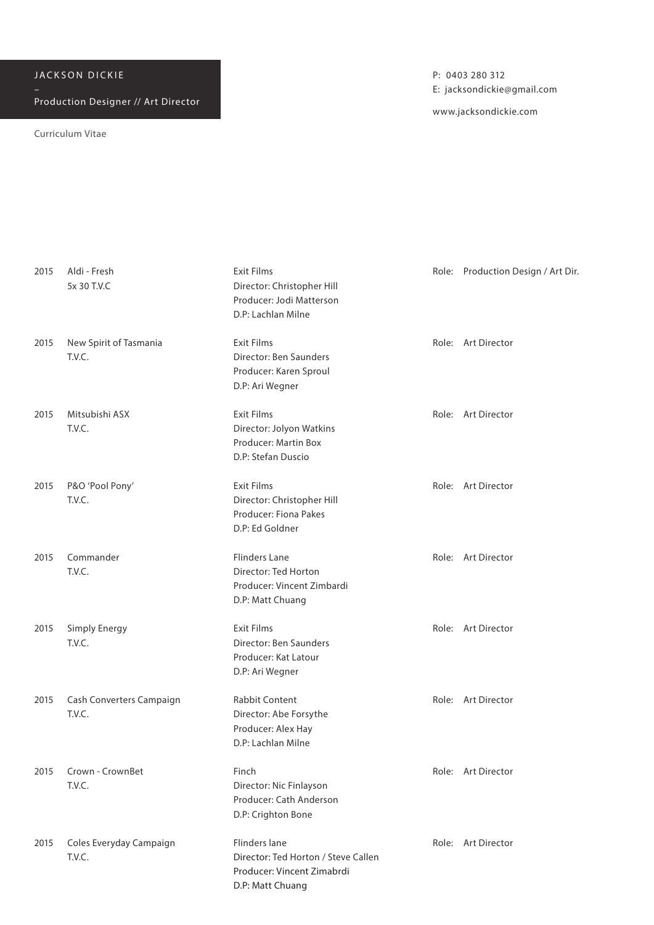Curriculum Vitae

| 2015 | Aldi - Fresh<br>5x 30 T.V.C        | <b>Exit Films</b><br>Director: Christopher Hill<br>Producer: Jodi Matterson<br>D.P: Lachlan Milne      | Role: Production Design / Art Dir |
|------|------------------------------------|--------------------------------------------------------------------------------------------------------|-----------------------------------|
| 2015 | New Spirit of Tasmania<br>T.V.C.   | <b>Exit Films</b><br>Director: Ben Saunders<br>Producer: Karen Sproul<br>D.P: Ari Wegner               | Role: Art Director                |
| 2015 | Mitsubishi ASX<br>T.V.C.           | <b>Exit Films</b><br>Director: Jolyon Watkins<br>Producer: Martin Box<br>D.P: Stefan Duscio            | Role: Art Director                |
| 2015 | P&O 'Pool Pony'<br>T.V.C.          | <b>Exit Films</b><br>Director: Christopher Hill<br>Producer: Fiona Pakes<br>D.P: Ed Goldner            | Role: Art Director                |
| 2015 | Commander<br>T.V.C.                | <b>Flinders Lane</b><br>Director: Ted Horton<br>Producer: Vincent Zimbardi<br>D.P: Matt Chuang         | Role: Art Director                |
| 2015 | Simply Energy<br>T.V.C.            | <b>Exit Films</b><br>Director: Ben Saunders<br>Producer: Kat Latour<br>D.P: Ari Wegner                 | Role: Art Director                |
| 2015 | Cash Converters Campaign<br>T.V.C. | Rabbit Content<br>Director: Abe Forsythe<br>Producer: Alex Hay<br>D.P: Lachlan Milne                   | Role: Art Director                |
| 2015 | Crown - CrownBet<br>T.V.C.         | Finch<br>Director: Nic Finlayson<br>Producer: Cath Anderson<br>D.P: Crighton Bone                      | Role: Art Director                |
| 2015 | Coles Everyday Campaign<br>T.V.C.  | Flinders lane<br>Director: Ted Horton / Steve Callen<br>Producer: Vincent Zimabrdi<br>D.P: Matt Chuang | Role: Art Director                |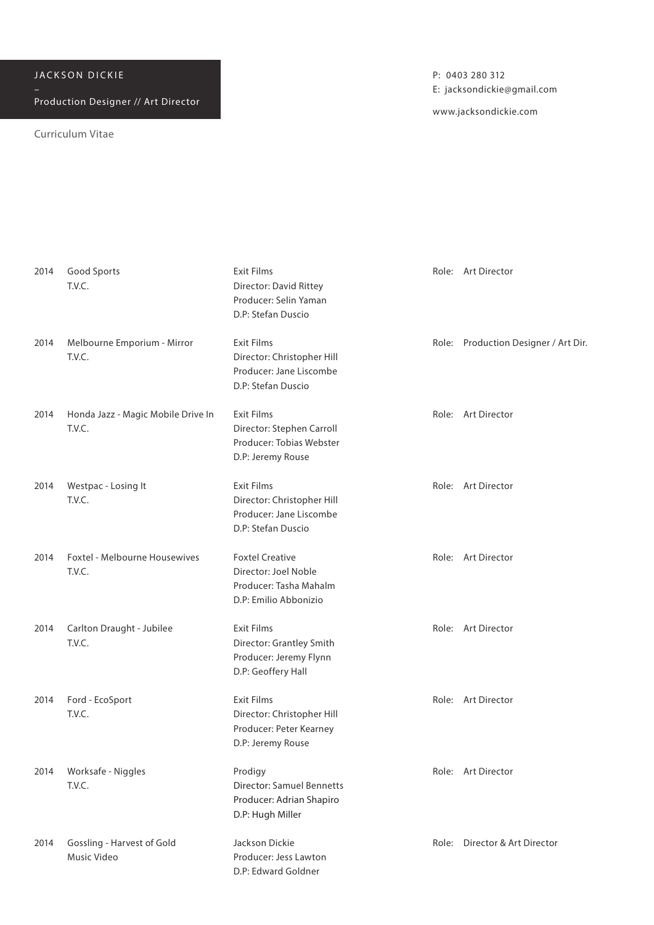Curriculum Vitae

| 2014 | Good Sports<br>T.V.C.                        | <b>Exit Films</b><br>Director: David Rittey<br>Producer: Selin Yaman<br>D.P: Stefan Duscio        |       | Role: Art Director                   |
|------|----------------------------------------------|---------------------------------------------------------------------------------------------------|-------|--------------------------------------|
| 2014 | Melbourne Emporium - Mirror<br>T.V.C.        | <b>Exit Films</b><br>Director: Christopher Hill<br>Producer: Jane Liscombe<br>D.P: Stefan Duscio  |       | Role: Production Designer / Art Dir. |
| 2014 | Honda Jazz - Magic Mobile Drive In<br>T.V.C. | <b>Exit Films</b><br>Director: Stephen Carroll<br>Producer: Tobias Webster<br>D.P: Jeremy Rouse   |       | Role: Art Director                   |
| 2014 | Westpac - Losing It<br>T.V.C.                | <b>Exit Films</b><br>Director: Christopher Hill<br>Producer: Jane Liscombe<br>D.P: Stefan Duscio  |       | Role: Art Director                   |
| 2014 | Foxtel - Melbourne Housewives<br>T.V.C.      | <b>Foxtel Creative</b><br>Director: Joel Noble<br>Producer: Tasha Mahalm<br>D.P: Emilio Abbonizio |       | Role: Art Director                   |
| 2014 | Carlton Draught - Jubilee<br>T.V.C.          | <b>Exit Films</b><br>Director: Grantley Smith<br>Producer: Jeremy Flynn<br>D.P: Geoffery Hall     |       | Role: Art Director                   |
| 2014 | Ford - EcoSport<br>T.V.C.                    | <b>Exit Films</b><br>Director: Christopher Hill<br>Producer: Peter Kearney<br>D.P: Jeremy Rouse   |       | Role: Art Director                   |
| 2014 | Worksafe - Niggles<br>T.V.C.                 | Prodigy<br><b>Director: Samuel Bennetts</b><br>Producer: Adrian Shapiro<br>D.P: Hugh Miller       |       | Role: Art Director                   |
| 2014 | Gossling - Harvest of Gold<br>Music Video    | Jackson Dickie<br>Producer: Jess Lawton<br>D.P: Edward Goldner                                    | Role: | Director & Art Director              |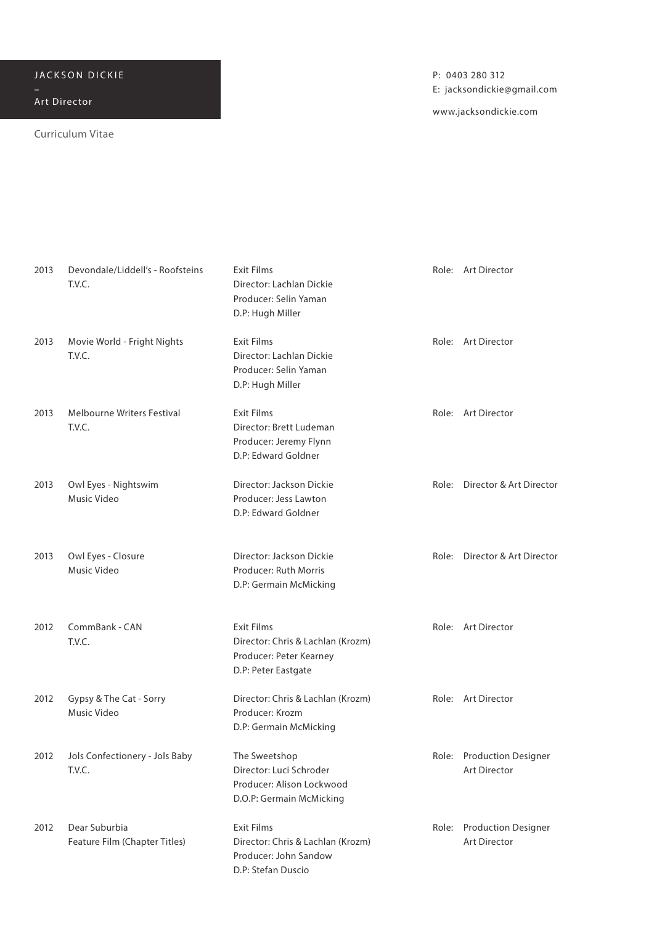## JACKSON DICKIE

Art Director

## Curriculum Vitae

P: 0403 280 312 E: jacksondickie@gmail.com

| 2013 | Devondale/Liddell's - Roofsteins<br>T.V.C.     | <b>Exit Films</b><br>Director: Lachlan Dickie<br>Producer: Selin Yaman<br>D.P: Hugh Miller               | Role: Art Director                        |
|------|------------------------------------------------|----------------------------------------------------------------------------------------------------------|-------------------------------------------|
| 2013 | Movie World - Fright Nights<br>T.V.C.          | Exit Films<br>Director: Lachlan Dickie<br>Producer: Selin Yaman<br>D.P: Hugh Miller                      | Role: Art Director                        |
| 2013 | Melbourne Writers Festival<br>T.V.C.           | <b>Exit Films</b><br>Director: Brett Ludeman<br>Producer: Jeremy Flynn<br>D.P: Edward Goldner            | Role: Art Director                        |
| 2013 | Owl Eyes - Nightswim<br>Music Video            | Director: Jackson Dickie<br>Producer: Jess Lawton<br>D.P: Edward Goldner                                 | Role: Director & Art Director             |
| 2013 | Owl Eyes - Closure<br>Music Video              | Director: Jackson Dickie<br>Producer: Ruth Morris<br>D.P: Germain McMicking                              | Role: Director & Art Director             |
| 2012 | CommBank - CAN<br>T.V.C.                       | <b>Exit Films</b><br>Director: Chris & Lachlan (Krozm)<br>Producer: Peter Kearney<br>D.P: Peter Eastgate | Role: Art Director                        |
| 2012 | Gypsy & The Cat - Sorry<br>Music Video         | Director: Chris & Lachlan (Krozm)<br>Producer: Krozm<br>D.P: Germain McMicking                           | Role: Art Director                        |
| 2012 | Jols Confectionery - Jols Baby<br>T.V.C.       | The Sweetshop<br>Director: Luci Schroder<br>Producer: Alison Lockwood<br>D.O.P: Germain McMicking        | Role: Production Designer<br>Art Director |
| 2012 | Dear Suburbia<br>Feature Film (Chapter Titles) | <b>Exit Films</b><br>Director: Chris & Lachlan (Krozm)<br>Producer: John Sandow<br>D.P: Stefan Duscio    | Role: Production Designer<br>Art Director |